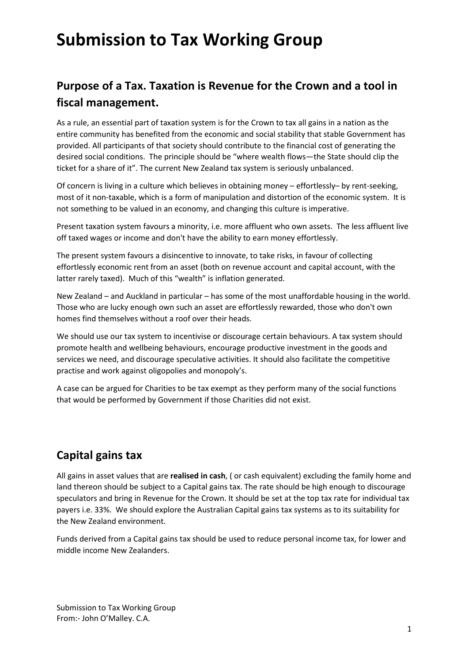### **Purpose of a Tax. Taxation is Revenue for the Crown and a tool in fiscal management.**

As a rule, an essential part of taxation system is for the Crown to tax all gains in a nation as the entire community has benefited from the economic and social stability that stable Government has provided. All participants of that society should contribute to the financial cost of generating the desired social conditions. The principle should be "where wealth flows—the State should clip the ticket for a share of it". The current New Zealand tax system is seriously unbalanced.

Of concern is living in a culture which believes in obtaining money – effortlessly– by rent-seeking, most of it non-taxable, which is a form of manipulation and distortion of the economic system. It is not something to be valued in an economy, and changing this culture is imperative.

Present taxation system favours a minority, i.e. more affluent who own assets. The less affluent live off taxed wages or income and don't have the ability to earn money effortlessly.

The present system favours a disincentive to innovate, to take risks, in favour of collecting effortlessly economic rent from an asset (both on revenue account and capital account, with the latter rarely taxed). Much of this "wealth" is inflation generated.

New Zealand – and Auckland in particular – has some of the most unaffordable housing in the world. Those who are lucky enough own such an asset are effortlessly rewarded, those who don't own homes find themselves without a roof over their heads.

We should use our tax system to incentivise or discourage certain behaviours. A tax system should promote health and wellbeing behaviours, encourage productive investment in the goods and services we need, and discourage speculative activities. It should also facilitate the competitive practise and work against oligopolies and monopoly's.

A case can be argued for Charities to be tax exempt as they perform many of the social functions that would be performed by Government if those Charities did not exist.

### **Capital gains tax**

All gains in asset values that are **realised in cash**, ( or cash equivalent) excluding the family home and land thereon should be subject to a Capital gains tax. The rate should be high enough to discourage speculators and bring in Revenue for the Crown. It should be set at the top tax rate for individual tax payers i.e. 33%. We should explore the Australian Capital gains tax systems as to its suitability for the New Zealand environment.

Funds derived from a Capital gains tax should be used to reduce personal income tax, for lower and middle income New Zealanders.

Submission to Tax Working Group From:- John O'Malley. C.A.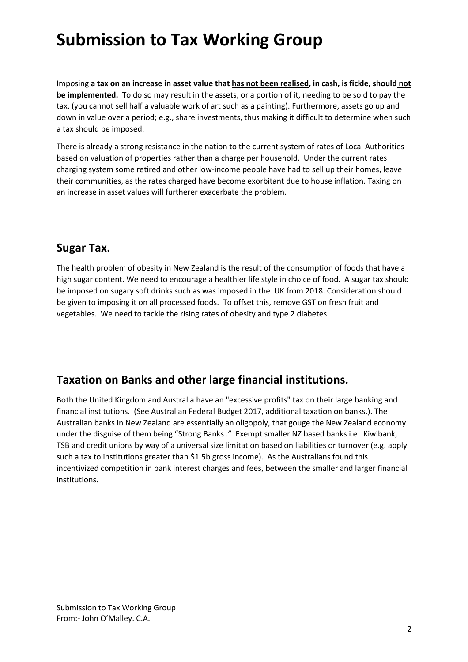Imposing **a tax on an increase in asset value that has not been realised, in cash, is fickle, should not be implemented.** To do so may result in the assets, or a portion of it, needing to be sold to pay the tax. (you cannot sell half a valuable work of art such as a painting). Furthermore, assets go up and down in value over a period; e.g., share investments, thus making it difficult to determine when such a tax should be imposed.

There is already a strong resistance in the nation to the current system of rates of Local Authorities based on valuation of properties rather than a charge per household. Under the current rates charging system some retired and other low-income people have had to sell up their homes, leave their communities, as the rates charged have become exorbitant due to house inflation. Taxing on an increase in asset values will furtherer exacerbate the problem.

### **Sugar Tax.**

The health problem of obesity in New Zealand is the result of the consumption of foods that have a high sugar content. We need to encourage a healthier life style in choice of food. A sugar tax should be imposed on sugary soft drinks such as was imposed in the UK from 2018. Consideration should be given to imposing it on all processed foods. To offset this, remove GST on fresh fruit and vegetables. We need to tackle the rising rates of obesity and type 2 diabetes.

### **Taxation on Banks and other large financial institutions.**

Both the United Kingdom and Australia have an "excessive profits" tax on their large banking and financial institutions. (See Australian Federal Budget 2017, additional taxation on banks.). The Australian banks in New Zealand are essentially an oligopoly, that gouge the New Zealand economy under the disguise of them being "Strong Banks ." Exempt smaller NZ based banks i.e Kiwibank, TSB and credit unions by way of a universal size limitation based on liabilities or turnover (e.g. apply such a tax to institutions greater than \$1.5b gross income). As the Australians found this incentivized competition in bank interest charges and fees, between the smaller and larger financial institutions.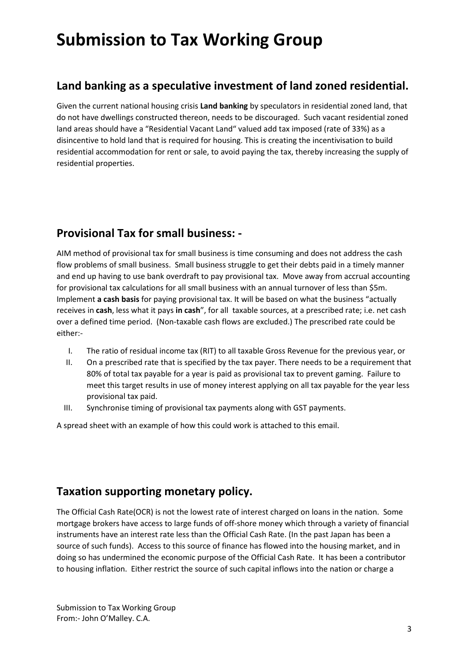#### **Land banking as a speculative investment of land zoned residential.**

Given the current national housing crisis **Land banking** by speculators in residential zoned land, that do not have dwellings constructed thereon, needs to be discouraged. Such vacant residential zoned land areas should have a "Residential Vacant Land" valued add tax imposed (rate of 33%) as a disincentive to hold land that is required for housing. This is creating the incentivisation to build residential accommodation for rent or sale, to avoid paying the tax, thereby increasing the supply of residential properties.

### **Provisional Tax for small business: -**

AIM method of provisional tax for small business is time consuming and does not address the cash flow problems of small business. Small business struggle to get their debts paid in a timely manner and end up having to use bank overdraft to pay provisional tax. Move away from accrual accounting for provisional tax calculations for all small business with an annual turnover of less than \$5m. Implement **a cash basis** for paying provisional tax. It will be based on what the business "actually receives in **cash**, less what it pays **in cash**", for all taxable sources, at a prescribed rate; i.e. net cash over a defined time period. (Non-taxable cash flows are excluded.) The prescribed rate could be either:-

- I. The ratio of residual income tax (RIT) to all taxable Gross Revenue for the previous year, or
- II. On a prescribed rate that is specified by the tax payer. There needs to be a requirement that 80% of total tax payable for a year is paid as provisional tax to prevent gaming. Failure to meet this target results in use of money interest applying on all tax payable for the year less provisional tax paid.
- III. Synchronise timing of provisional tax payments along with GST payments.

A spread sheet with an example of how this could work is attached to this email.

### **Taxation supporting monetary policy.**

The Official Cash Rate(OCR) is not the lowest rate of interest charged on loans in the nation. Some mortgage brokers have access to large funds of off-shore money which through a variety of financial instruments have an interest rate less than the Official Cash Rate. (In the past Japan has been a source of such funds). Access to this source of finance has flowed into the housing market, and in doing so has undermined the economic purpose of the Official Cash Rate. It has been a contributor to housing inflation. Either restrict the source of such capital inflows into the nation or charge a